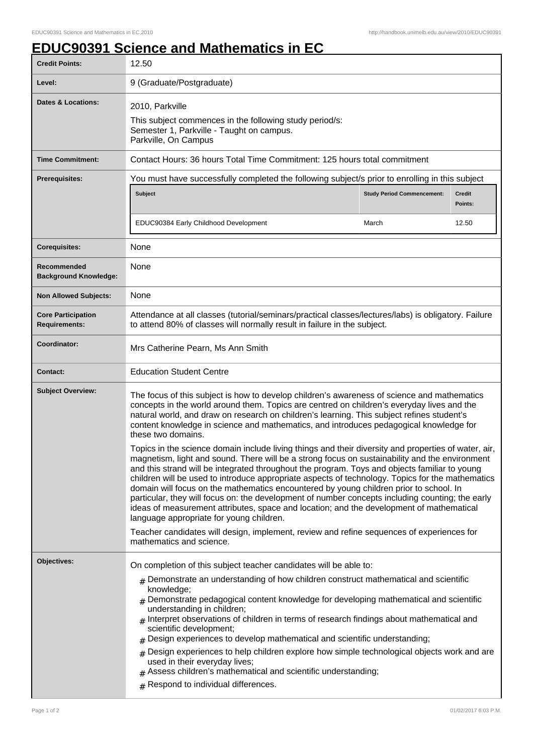## **EDUC90391 Science and Mathematics in EC**

| <b>Credit Points:</b>                             | 12.50                                                                                                                                                                                                                                                                                                                                                                                                                                                                                                                                                                                                                                                                                                                                                                                                                                          |                                   |                          |  |
|---------------------------------------------------|------------------------------------------------------------------------------------------------------------------------------------------------------------------------------------------------------------------------------------------------------------------------------------------------------------------------------------------------------------------------------------------------------------------------------------------------------------------------------------------------------------------------------------------------------------------------------------------------------------------------------------------------------------------------------------------------------------------------------------------------------------------------------------------------------------------------------------------------|-----------------------------------|--------------------------|--|
| Level:                                            | 9 (Graduate/Postgraduate)                                                                                                                                                                                                                                                                                                                                                                                                                                                                                                                                                                                                                                                                                                                                                                                                                      |                                   |                          |  |
| <b>Dates &amp; Locations:</b>                     | 2010, Parkville<br>This subject commences in the following study period/s:<br>Semester 1, Parkville - Taught on campus.<br>Parkville, On Campus                                                                                                                                                                                                                                                                                                                                                                                                                                                                                                                                                                                                                                                                                                |                                   |                          |  |
| <b>Time Commitment:</b>                           | Contact Hours: 36 hours Total Time Commitment: 125 hours total commitment                                                                                                                                                                                                                                                                                                                                                                                                                                                                                                                                                                                                                                                                                                                                                                      |                                   |                          |  |
| <b>Prerequisites:</b>                             | You must have successfully completed the following subject/s prior to enrolling in this subject<br><b>Subject</b>                                                                                                                                                                                                                                                                                                                                                                                                                                                                                                                                                                                                                                                                                                                              | <b>Study Period Commencement:</b> | <b>Credit</b><br>Points: |  |
|                                                   | EDUC90384 Early Childhood Development                                                                                                                                                                                                                                                                                                                                                                                                                                                                                                                                                                                                                                                                                                                                                                                                          | March                             | 12.50                    |  |
| <b>Corequisites:</b>                              | None                                                                                                                                                                                                                                                                                                                                                                                                                                                                                                                                                                                                                                                                                                                                                                                                                                           |                                   |                          |  |
| Recommended<br><b>Background Knowledge:</b>       | None                                                                                                                                                                                                                                                                                                                                                                                                                                                                                                                                                                                                                                                                                                                                                                                                                                           |                                   |                          |  |
| <b>Non Allowed Subjects:</b>                      | None                                                                                                                                                                                                                                                                                                                                                                                                                                                                                                                                                                                                                                                                                                                                                                                                                                           |                                   |                          |  |
| <b>Core Participation</b><br><b>Requirements:</b> | Attendance at all classes (tutorial/seminars/practical classes/lectures/labs) is obligatory. Failure<br>to attend 80% of classes will normally result in failure in the subject.                                                                                                                                                                                                                                                                                                                                                                                                                                                                                                                                                                                                                                                               |                                   |                          |  |
| Coordinator:                                      | Mrs Catherine Pearn, Ms Ann Smith                                                                                                                                                                                                                                                                                                                                                                                                                                                                                                                                                                                                                                                                                                                                                                                                              |                                   |                          |  |
| <b>Contact:</b>                                   | <b>Education Student Centre</b>                                                                                                                                                                                                                                                                                                                                                                                                                                                                                                                                                                                                                                                                                                                                                                                                                |                                   |                          |  |
| <b>Subject Overview:</b>                          | The focus of this subject is how to develop children's awareness of science and mathematics<br>concepts in the world around them. Topics are centred on children's everyday lives and the<br>natural world, and draw on research on children's learning. This subject refines student's<br>content knowledge in science and mathematics, and introduces pedagogical knowledge for<br>these two domains.                                                                                                                                                                                                                                                                                                                                                                                                                                        |                                   |                          |  |
|                                                   | Topics in the science domain include living things and their diversity and properties of water, air,<br>magnetism, light and sound. There will be a strong focus on sustainability and the environment<br>and this strand will be integrated throughout the program. Toys and objects familiar to young<br>children will be used to introduce appropriate aspects of technology. Topics for the mathematics<br>domain will focus on the mathematics encountered by young children prior to school. In<br>particular, they will focus on: the development of number concepts including counting; the early<br>ideas of measurement attributes, space and location; and the development of mathematical<br>language appropriate for young children.<br>Teacher candidates will design, implement, review and refine sequences of experiences for |                                   |                          |  |
|                                                   | mathematics and science.                                                                                                                                                                                                                                                                                                                                                                                                                                                                                                                                                                                                                                                                                                                                                                                                                       |                                   |                          |  |
| Objectives:                                       | On completion of this subject teacher candidates will be able to:                                                                                                                                                                                                                                                                                                                                                                                                                                                                                                                                                                                                                                                                                                                                                                              |                                   |                          |  |
|                                                   | $#$ Demonstrate an understanding of how children construct mathematical and scientific<br>knowledge;<br>$#$ Demonstrate pedagogical content knowledge for developing mathematical and scientific<br>understanding in children;<br># Interpret observations of children in terms of research findings about mathematical and<br>scientific development;<br>$#$ Design experiences to develop mathematical and scientific understanding;<br>$#$ Design experiences to help children explore how simple technological objects work and are<br>used in their everyday lives;<br>$#$ Assess children's mathematical and scientific understanding;<br># Respond to individual differences.                                                                                                                                                           |                                   |                          |  |
|                                                   |                                                                                                                                                                                                                                                                                                                                                                                                                                                                                                                                                                                                                                                                                                                                                                                                                                                |                                   |                          |  |